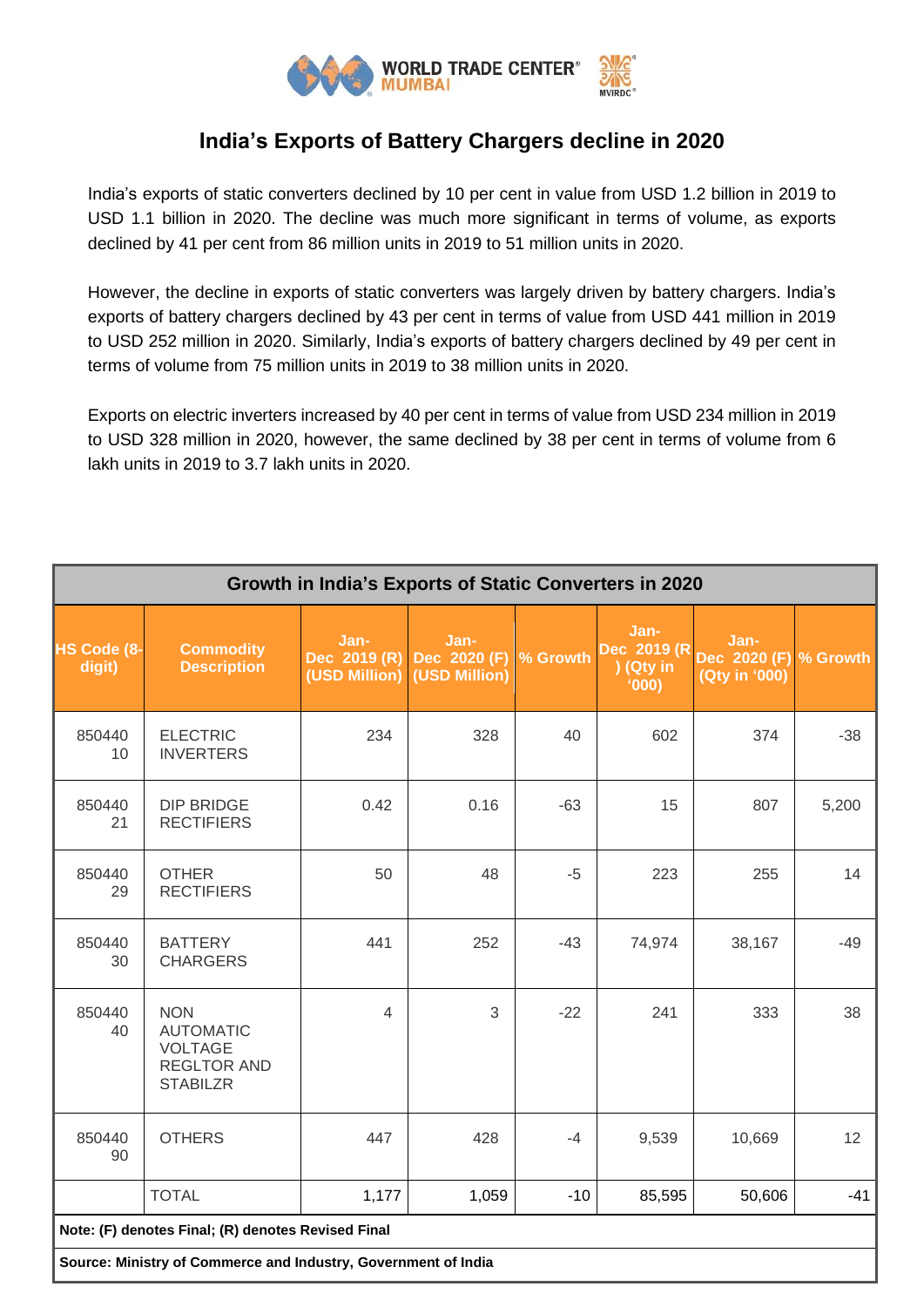

## **India's Exports of Battery Chargers decline in 2020**

India's exports of static converters declined by 10 per cent in value from USD 1.2 billion in 2019 to USD 1.1 billion in 2020. The decline was much more significant in terms of volume, as exports declined by 41 per cent from 86 million units in 2019 to 51 million units in 2020.

However, the decline in exports of static converters was largely driven by battery chargers. India's exports of battery chargers declined by 43 per cent in terms of value from USD 441 million in 2019 to USD 252 million in 2020. Similarly, India's exports of battery chargers declined by 49 per cent in terms of volume from 75 million units in 2019 to 38 million units in 2020.

Exports on electric inverters increased by 40 per cent in terms of value from USD 234 million in 2019 to USD 328 million in 2020, however, the same declined by 38 per cent in terms of volume from 6 lakh units in 2019 to 3.7 lakh units in 2020.

| Growth in India's Exports of Static Converters in 2020                                                               |                                                                                           |                                       |                                       |          |                                            |                                                |       |
|----------------------------------------------------------------------------------------------------------------------|-------------------------------------------------------------------------------------------|---------------------------------------|---------------------------------------|----------|--------------------------------------------|------------------------------------------------|-------|
| <b>HS Code (8-</b><br>digit)                                                                                         | <b>Commodity</b><br><b>Description</b>                                                    | Jan-<br>Dec 2019 (R)<br>(USD Million) | Jan-<br>Dec 2020 (F)<br>(USD Million) | % Growth | Jan-<br>Dec 2019 (R)<br>) (Qty in<br>(000) | Jan-<br>Dec 2020 (F) % Growth<br>(Qty in '000) |       |
| 850440<br>10                                                                                                         | <b>ELECTRIC</b><br><b>INVERTERS</b>                                                       | 234                                   | 328                                   | 40       | 602                                        | 374                                            | $-38$ |
| 850440<br>21                                                                                                         | <b>DIP BRIDGE</b><br><b>RECTIFIERS</b>                                                    | 0.42                                  | 0.16                                  | $-63$    | 15                                         | 807                                            | 5,200 |
| 850440<br>29                                                                                                         | <b>OTHER</b><br><b>RECTIFIERS</b>                                                         | 50                                    | 48                                    | $-5$     | 223                                        | 255                                            | 14    |
| 850440<br>30                                                                                                         | <b>BATTERY</b><br><b>CHARGERS</b>                                                         | 441                                   | 252                                   | $-43$    | 74,974                                     | 38,167                                         | $-49$ |
| 850440<br>40                                                                                                         | <b>NON</b><br><b>AUTOMATIC</b><br><b>VOLTAGE</b><br><b>REGLTOR AND</b><br><b>STABILZR</b> | 4                                     | 3                                     | $-22$    | 241                                        | 333                                            | 38    |
| 850440<br>90                                                                                                         | <b>OTHERS</b>                                                                             | 447                                   | 428                                   | $-4$     | 9,539                                      | 10,669                                         | 12    |
|                                                                                                                      | <b>TOTAL</b>                                                                              | 1,177                                 | 1,059                                 | $-10$    | 85,595                                     | 50,606                                         | $-41$ |
| Note: (F) denotes Final; (R) denotes Revised Final<br>Source: Ministry of Commerce and Industry, Government of India |                                                                                           |                                       |                                       |          |                                            |                                                |       |